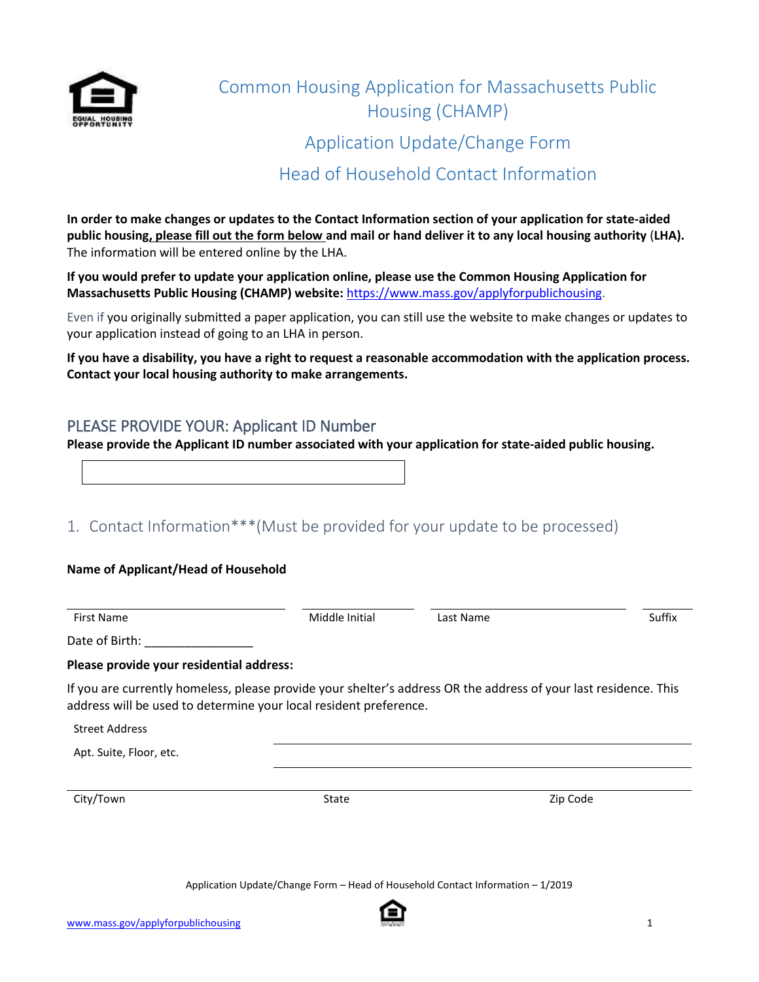

# Common Housing Application for Massachusetts Public Housing (CHAMP) Application Update/Change Form Head of Household Contact Information

**In order to make changes or updates to the Contact Information section of your application for state-aided public housing, please fill out the form below and mail or hand deliver it to any local housing authority** (**LHA).** The information will be entered online by the LHA.

**If you would prefer to update your application online, please use the Common Housing Application for Massachusetts Public Housing (CHAMP) website:** https://www.mass.gov/applyforpublichousing.

Even if you originally submitted a paper application, you can still use the website to make changes or updates to your application instead of going to an LHA in person.

**If you have a disability, you have a right to request a reasonable accommodation with the application process. Contact your local housing authority to make arrangements.**

### PLEASE PROVIDE YOUR: Applicant ID Number

**Please provide the Applicant ID number associated with your application for state-aided public housing.** 

## 1. Contact Information\*\*\*(Must be provided for your update to be processed)

#### **Name of Applicant/Head of Household**

First Name Suffix Controllers and Middle Initial Controllers and Middle Initial Controllers and Suffix Controllers Suffix Date of Birth:

#### **Please provide your residential address:**

If you are currently homeless, please provide your shelter's address OR the address of your last residence. This address will be used to determine your local resident preference.

Street Address

Apt. Suite, Floor, etc.

City/Town 2ip Code 21 and 21 and 21 and 21 and 21 and 21 and 21 and 21 and 21 and 21 and 21 and 21 and 21 and 2

Application Update/Change Form – Head of Household Contact Information – 1/2019